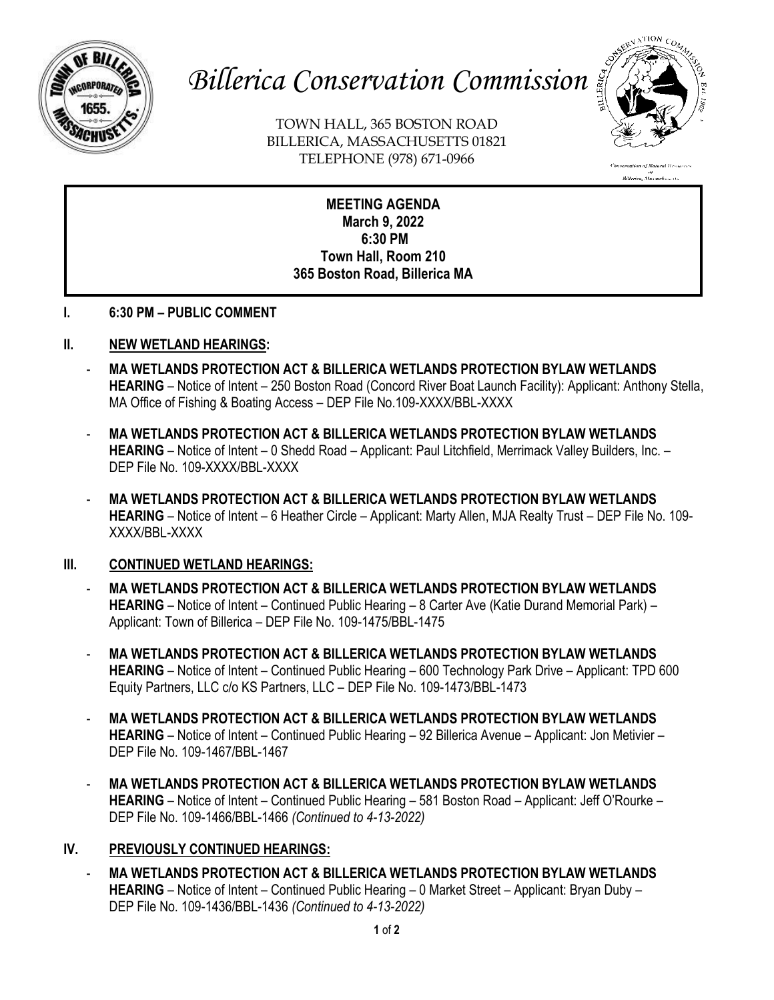

# *Billerica Conservation Commission*

TOWN HALL, 365 BOSTON ROAD BILLERICA, MASSACHUSETTS 01821 TELEPHONE (978) 671-0966



n<br>Billerica, Massachusetts

**MEETING AGENDA March 9, 2022 6:30 PM Town Hall, Room 210 365 Boston Road, Billerica MA**

**I. 6:30 PM – PUBLIC COMMENT** 

#### **II. NEW WETLAND HEARINGS:**

- **MA WETLANDS PROTECTION ACT & BILLERICA WETLANDS PROTECTION BYLAW WETLANDS HEARING** – Notice of Intent – 250 Boston Road (Concord River Boat Launch Facility): Applicant: Anthony Stella, MA Office of Fishing & Boating Access – DEP File No.109-XXXX/BBL-XXXX
- **MA WETLANDS PROTECTION ACT & BILLERICA WETLANDS PROTECTION BYLAW WETLANDS HEARING** – Notice of Intent – 0 Shedd Road – Applicant: Paul Litchfield, Merrimack Valley Builders, Inc. – DEP File No. 109-XXXX/BBL-XXXX
- **MA WETLANDS PROTECTION ACT & BILLERICA WETLANDS PROTECTION BYLAW WETLANDS HEARING** – Notice of Intent – 6 Heather Circle – Applicant: Marty Allen, MJA Realty Trust – DEP File No. 109- XXXX/BBL-XXXX

#### **III. CONTINUED WETLAND HEARINGS:**

- **MA WETLANDS PROTECTION ACT & BILLERICA WETLANDS PROTECTION BYLAW WETLANDS HEARING** – Notice of Intent – Continued Public Hearing – 8 Carter Ave (Katie Durand Memorial Park) – Applicant: Town of Billerica – DEP File No. 109-1475/BBL-1475
- **MA WETLANDS PROTECTION ACT & BILLERICA WETLANDS PROTECTION BYLAW WETLANDS HEARING** – Notice of Intent – Continued Public Hearing – 600 Technology Park Drive – Applicant: TPD 600 Equity Partners, LLC c/o KS Partners, LLC – DEP File No. 109-1473/BBL-1473
- **MA WETLANDS PROTECTION ACT & BILLERICA WETLANDS PROTECTION BYLAW WETLANDS HEARING** – Notice of Intent – Continued Public Hearing – 92 Billerica Avenue – Applicant: Jon Metivier – DEP File No. 109-1467/BBL-1467
- **MA WETLANDS PROTECTION ACT & BILLERICA WETLANDS PROTECTION BYLAW WETLANDS HEARING** – Notice of Intent – Continued Public Hearing – 581 Boston Road – Applicant: Jeff O'Rourke – DEP File No. 109-1466/BBL-1466 *(Continued to 4-13-2022)*

#### **IV. PREVIOUSLY CONTINUED HEARINGS:**

- **MA WETLANDS PROTECTION ACT & BILLERICA WETLANDS PROTECTION BYLAW WETLANDS HEARING** – Notice of Intent – Continued Public Hearing – 0 Market Street – Applicant: Bryan Duby – DEP File No. 109-1436/BBL-1436 *(Continued to 4-13-2022)*